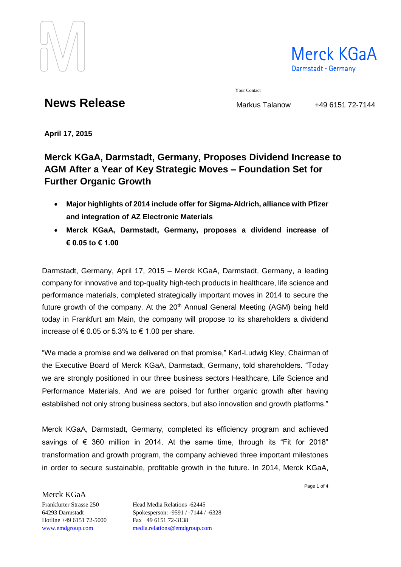

Merck KGaA Darmstadt · Germany

Your Contact

**News Release** Markus Talanow +49 6151 72-7144

**April 17, 2015**

## **Merck KGaA, Darmstadt, Germany, Proposes Dividend Increase to AGM After a Year of Key Strategic Moves – Foundation Set for Further Organic Growth**

- **Major highlights of 2014 include offer for Sigma-Aldrich, alliance with Pfizer and integration of AZ Electronic Materials**
- **Merck KGaA, Darmstadt, Germany, proposes a dividend increase of € 0.05 to € 1.00**

Darmstadt, Germany, April 17, 2015 – Merck KGaA, Darmstadt, Germany, a leading company for innovative and top-quality high-tech products in healthcare, life science and performance materials, completed strategically important moves in 2014 to secure the future growth of the company. At the  $20<sup>th</sup>$  Annual General Meeting (AGM) being held today in Frankfurt am Main, the company will propose to its shareholders a dividend increase of € 0.05 or 5.3% to € 1.00 per share.

"We made a promise and we delivered on that promise," Karl-Ludwig Kley, Chairman of the Executive Board of Merck KGaA, Darmstadt, Germany, told shareholders. "Today we are strongly positioned in our three business sectors Healthcare, Life Science and Performance Materials. And we are poised for further organic growth after having established not only strong business sectors, but also innovation and growth platforms."

Merck KGaA, Darmstadt, Germany, completed its efficiency program and achieved savings of  $\epsilon$  360 million in 2014. At the same time, through its "Fit for 2018" transformation and growth program, the company achieved three important milestones in order to secure sustainable, profitable growth in the future. In 2014, Merck KGaA,

Page 1 of 4

Hotline +49 6151 72-5000 Fax +49 6151 72-3138

Merck KGaA

Frankfurter Strasse 250 Head Media Relations -62445 64293 Darmstadt Spokesperson: -9591 / -7144 / -6328 [www.emdgroup.com](http://www.emdgroup.com/) [media.relations@emdgroup.com](mailto:media.relations@emdgroup.com)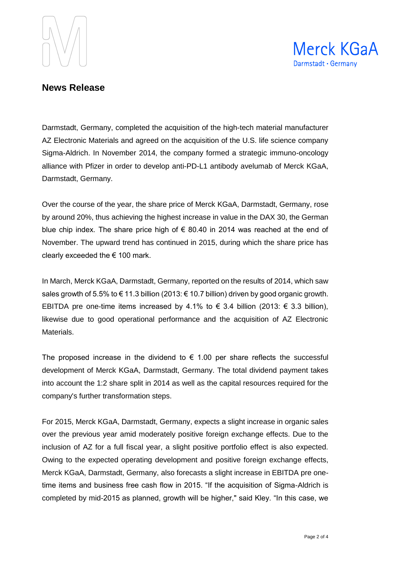



## **News Release**

Darmstadt, Germany, completed the acquisition of the high-tech material manufacturer AZ Electronic Materials and agreed on the acquisition of the U.S. life science company Sigma-Aldrich. In November 2014, the company formed a strategic immuno-oncology alliance with Pfizer in order to develop anti-PD-L1 antibody avelumab of Merck KGaA, Darmstadt, Germany.

Over the course of the year, the share price of Merck KGaA, Darmstadt, Germany, rose by around 20%, thus achieving the highest increase in value in the DAX 30, the German blue chip index. The share price high of  $\epsilon$  80.40 in 2014 was reached at the end of November. The upward trend has continued in 2015, during which the share price has clearly exceeded the  $\epsilon$  100 mark.

In March, Merck KGaA, Darmstadt, Germany, reported on the results of 2014, which saw sales growth of 5.5% to € 11.3 billion (2013: € 10.7 billion) driven by good organic growth. EBITDA pre one-time items increased by 4.1% to € 3.4 billion (2013: € 3.3 billion), likewise due to good operational performance and the acquisition of AZ Electronic Materials.

The proposed increase in the dividend to  $\epsilon$  1.00 per share reflects the successful development of Merck KGaA, Darmstadt, Germany. The total dividend payment takes into account the 1:2 share split in 2014 as well as the capital resources required for the company's further transformation steps.

For 2015, Merck KGaA, Darmstadt, Germany, expects a slight increase in organic sales over the previous year amid moderately positive foreign exchange effects. Due to the inclusion of AZ for a full fiscal year, a slight positive portfolio effect is also expected. Owing to the expected operating development and positive foreign exchange effects, Merck KGaA, Darmstadt, Germany, also forecasts a slight increase in EBITDA pre onetime items and business free cash flow in 2015. "If the acquisition of Sigma-Aldrich is completed by mid-2015 as planned, growth will be higher," said Kley. "In this case, we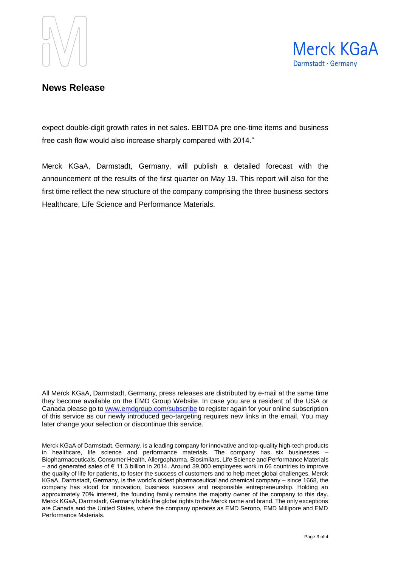



## **News Release**

expect double-digit growth rates in net sales. EBITDA pre one-time items and business free cash flow would also increase sharply compared with 2014."

Merck KGaA, Darmstadt, Germany, will publish a detailed forecast with the announcement of the results of the first quarter on May 19. This report will also for the first time reflect the new structure of the company comprising the three business sectors Healthcare, Life Science and Performance Materials.

All Merck KGaA, Darmstadt, Germany, press releases are distributed by e-mail at the same time they become available on the EMD Group Website. In case you are a resident of the USA or Canada please go to [www.emdgroup.com/subscribe](http://www.emdgroup.com/subscribe) to register again for your online subscription of this service as our newly introduced geo-targeting requires new links in the email. You may later change your selection or discontinue this service.

Merck KGaA of Darmstadt, Germany, is a leading company for innovative and top-quality high-tech products in healthcare, life science and performance materials. The company has six businesses – Biopharmaceuticals, Consumer Health, Allergopharma, Biosimilars, Life Science and Performance Materials – and generated sales of € 11.3 billion in 2014. Around 39,000 employees work in 66 countries to improve the quality of life for patients, to foster the success of customers and to help meet global challenges. Merck KGaA, Darmstadt, Germany, is the world's oldest pharmaceutical and chemical company – since 1668, the company has stood for innovation, business success and responsible entrepreneurship. Holding an approximately 70% interest, the founding family remains the majority owner of the company to this day. Merck KGaA, Darmstadt, Germany holds the global rights to the Merck name and brand. The only exceptions are Canada and the United States, where the company operates as EMD Serono, EMD Millipore and EMD Performance Materials.